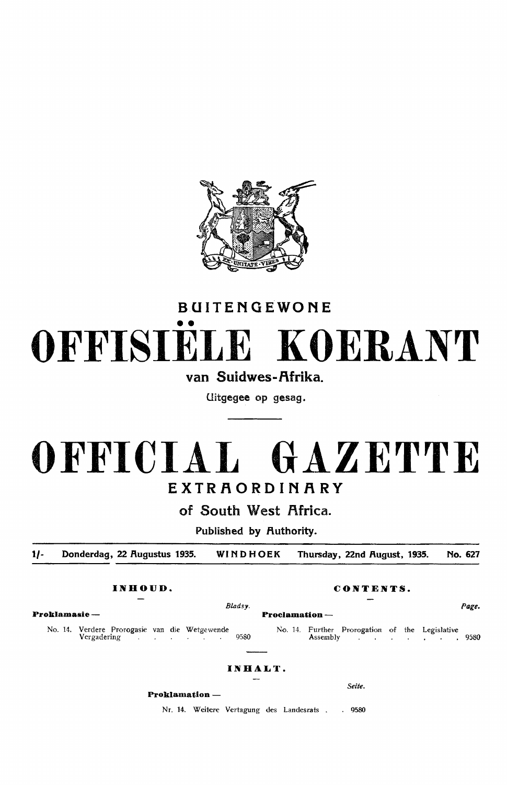

# BUITENGEWONE •• **OFFISIELE KOERANT**

van Suidwes-Afrika.

Uitgegee op gesag.

## **OFFICIAL GAZETTE**  EXTRAORDINARY

of South West Africa.

Published by Authority.

**1/-** Donderdag, 22 Rugustus 1935. WINDHOEK Thursday, 22nd Rugust, 1935. No. 627

**Proklamasie** - **Proclamation** -

No. 14. Verdere Prorogasie van die Wetgewende Vergadering 9580

### **INHALT.**

**Proklamation** -

Nr. 14. Weitere Vertagung des Landesrats . . 9580

**INHOUD. CONTENTS.** 

*Bladsy.* Page.

#### No. 14. Further Prorogation of the Legisfative Assembly

Seite.